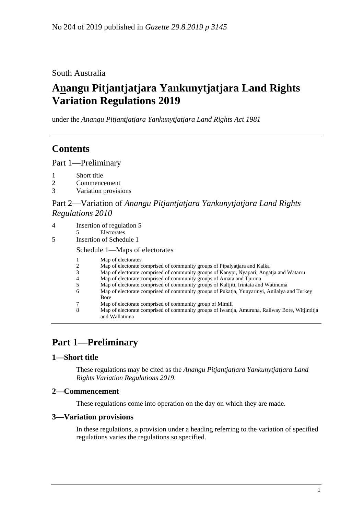### South Australia

# **Anangu Pitjantjatjara Yankunytjatjara Land Rights Variation Regulations 2019**

under the *Anangu Pitjantjatjara Yankunytjatjara Land Rights Act 1981*

## **Contents**

Part [1—Preliminary](#page-0-0)

- 1 [Short title](#page-0-1)
- 2 [Commencement](#page-0-2)
- 3 [Variation provisions](#page-0-3)

### Part 2—Variation of *[Anangu Pitjantjatjara Yankunytjatjara Land Rights](#page-1-0)  [Regulations](#page-1-0) 2010*

| 4 | Insertion of regulation 5 |  |
|---|---------------------------|--|
|   |                           |  |

- Electorates
- 5 [Insertion of Schedule 1](#page-2-0)

Schedule 1—Maps of electorates

- 1 Map of electorates<br>2 Map of electorate of
- 2 Map of electorate comprised of community groups of Pipalyatjara and Kalka
- 3 Map of electorate comprised of community groups of Kanypi, Nyapari, Angatja and Watarru
- 4 Map of electorate comprised of community groups of Amata and Tjurma<br>5 Map of electorate comprised of community groups of Kaltiiti. Irintata and
- 5 Map of electorate comprised of community groups of Kaltjiti, Irintata and Watinuma
- Map of electorate comprised of community groups of Pukatia, Yunyarinyi, Anilalya and Turkey Bore
- 7 Map of electorate comprised of community group of Mimili
- 8 Map of electorate comprised of community groups of Iwantja, Amuruna, Railway Bore, Witjintitja and Wallatinna

# <span id="page-0-0"></span>**Part 1—Preliminary**

### <span id="page-0-1"></span>**1—Short title**

These regulations may be cited as the *Anangu Pitjantjatjara Yankunytjatjara Land Rights Variation Regulations 2019*.

### <span id="page-0-2"></span>**2—Commencement**

These regulations come into operation on the day on which they are made.

### <span id="page-0-3"></span>**3—Variation provisions**

In these regulations, a provision under a heading referring to the variation of specified regulations varies the regulations so specified.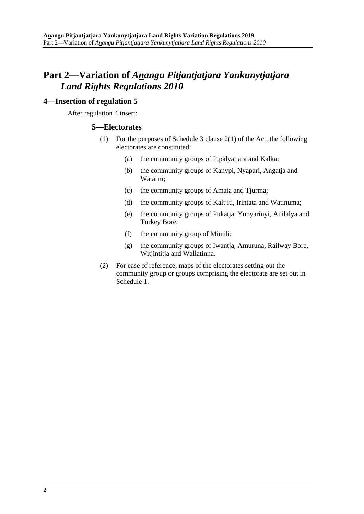## <span id="page-1-0"></span>**Part 2—Variation of** *Anangu Pitjantjatjara Yankunytjatjara Land Rights Regulations 2010*

#### <span id="page-1-1"></span>**4—Insertion of regulation 5**

After regulation 4 insert:

#### **5—Electorates**

- (1) For the purposes of Schedule 3 clause 2(1) of the Act, the following electorates are constituted:
	- (a) the community groups of Pipalyatjara and Kalka;
	- (b) the community groups of Kanypi, Nyapari, Angatja and Watarru;
	- (c) the community groups of Amata and Tjurma;
	- (d) the community groups of Kaltjiti, Irintata and Watinuma;
	- (e) the community groups of Pukatja, Yunyarinyi, Anilalya and Turkey Bore;
	- (f) the community group of Mimili;
	- (g) the community groups of Iwantja, Amuruna, Railway Bore, Witjintitja and Wallatinna.
- (2) For ease of reference, maps of the electorates setting out the community group or groups comprising the electorate are set out in Schedule 1.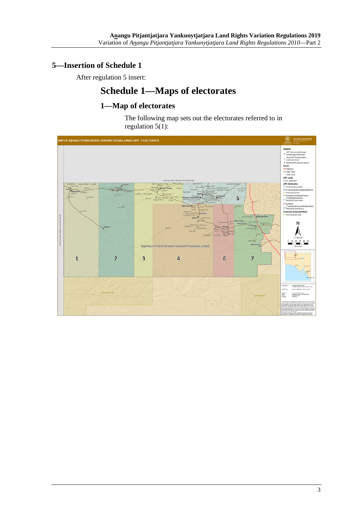## <span id="page-2-0"></span>**5—Insertion of Schedule 1**

After regulation 5 insert:

# **Schedule 1—Maps of electorates**

## **1—Map of electorates**

The following map sets out the electorates referred to in regulation  $5(1)$ :

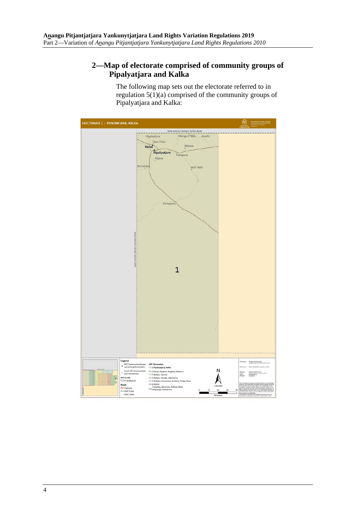### **2—Map of electorate comprised of community groups of Pipalyatjara and Kalka**

The following map sets out the electorate referred to in regulation 5(1)(a) comprised of the community groups of Pipalyatjara and Kalka:

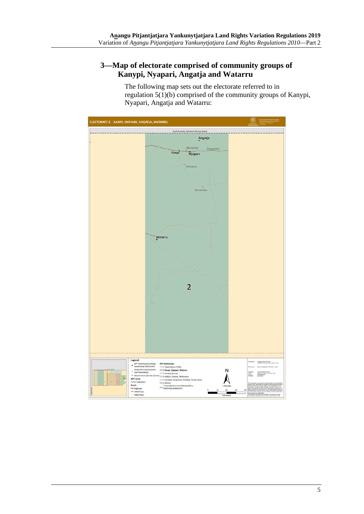### **3—Map of electorate comprised of community groups of Kanypi, Nyapari, Angatja and Watarru**

The following map sets out the electorate referred to in regulation 5(1)(b) comprised of the community groups of Kanypi, Nyapari, Angatja and Watarru:

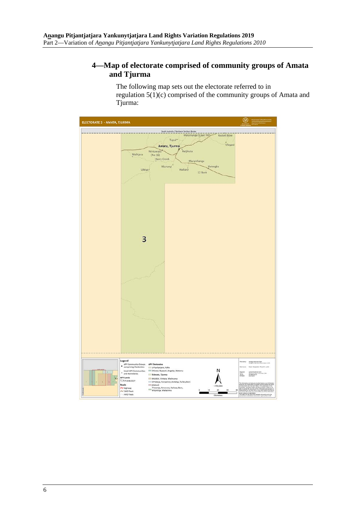### **4—Map of electorate comprised of community groups of Amata and Tjurma**

The following map sets out the electorate referred to in regulation 5(1)(c) comprised of the community groups of Amata and Tjurma:

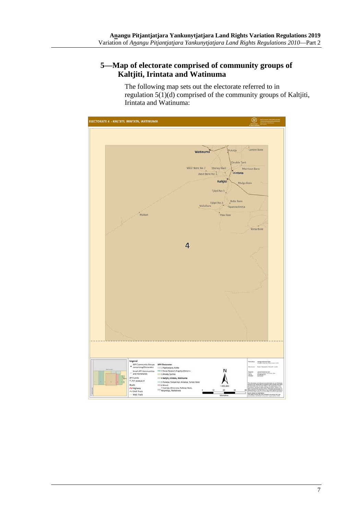### **5—Map of electorate comprised of community groups of Kaltjiti, Irintata and Watinuma**

The following map sets out the electorate referred to in regulation 5(1)(d) comprised of the community groups of Kaltjiti, Irintata and Watinuma:

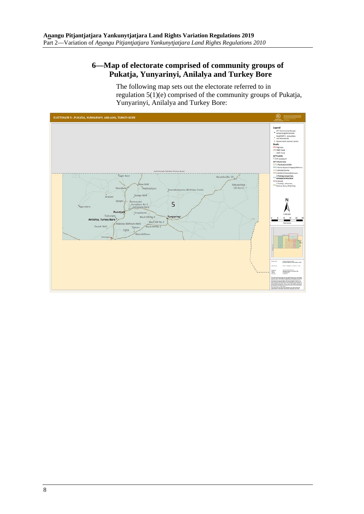### **6—Map of electorate comprised of community groups of Pukatja, Yunyarinyi, Anilalya and Turkey Bore**

The following map sets out the electorate referred to in regulation 5(1)(e) comprised of the community groups of Pukatja, Yunyarinyi, Anilalya and Turkey Bore:

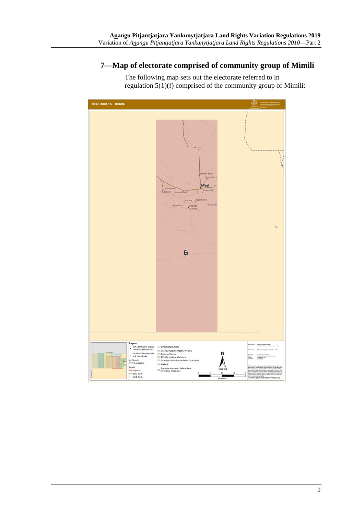### **7—Map of electorate comprised of community group of Mimili**

The following map sets out the electorate referred to in regulation 5(1)(f) comprised of the community group of Mimili:

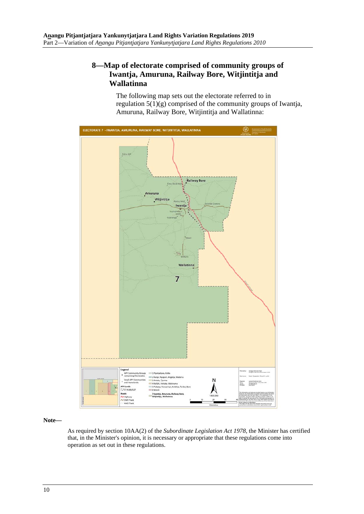### **8—Map of electorate comprised of community groups of Iwantja, Amuruna, Railway Bore, Witjintitja and Wallatinna**

The following map sets out the electorate referred to in regulation  $5(1)(g)$  comprised of the community groups of Iwantja, Amuruna, Railway Bore, Witjintitja and Wallatinna:



**Note—**

As required by section 10AA(2) of the *[Subordinate Legislation Act](http://www.legislation.sa.gov.au/index.aspx?action=legref&type=act&legtitle=Subordinate%20Legislation%20Act%201978) 1978*, the Minister has certified that, in the Minister's opinion, it is necessary or appropriate that these regulations come into operation as set out in these regulations.